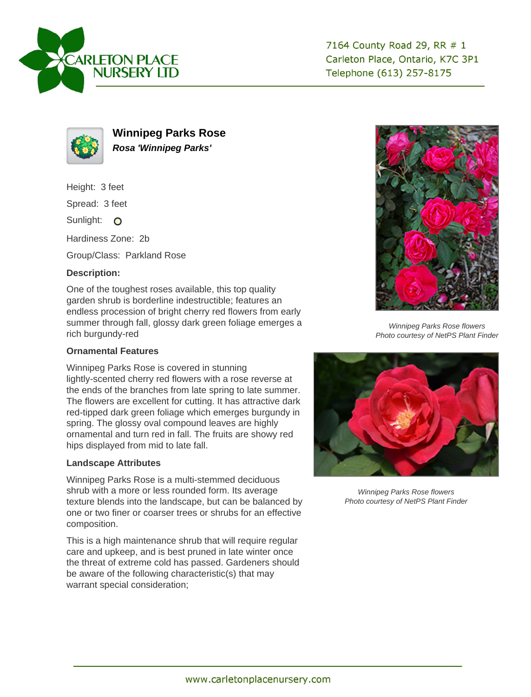



**Winnipeg Parks Rose Rosa 'Winnipeg Parks'**

Height: 3 feet

Spread: 3 feet

Sunlight: O

Hardiness Zone: 2b

Group/Class: Parkland Rose

## **Description:**

One of the toughest roses available, this top quality garden shrub is borderline indestructible; features an endless procession of bright cherry red flowers from early summer through fall, glossy dark green foliage emerges a rich burgundy-red

## **Ornamental Features**

Winnipeg Parks Rose is covered in stunning lightly-scented cherry red flowers with a rose reverse at the ends of the branches from late spring to late summer. The flowers are excellent for cutting. It has attractive dark red-tipped dark green foliage which emerges burgundy in spring. The glossy oval compound leaves are highly ornamental and turn red in fall. The fruits are showy red hips displayed from mid to late fall.

## **Landscape Attributes**

Winnipeg Parks Rose is a multi-stemmed deciduous shrub with a more or less rounded form. Its average texture blends into the landscape, but can be balanced by one or two finer or coarser trees or shrubs for an effective composition.

This is a high maintenance shrub that will require regular care and upkeep, and is best pruned in late winter once the threat of extreme cold has passed. Gardeners should be aware of the following characteristic(s) that may warrant special consideration;



Winnipeg Parks Rose flowers Photo courtesy of NetPS Plant Finder



Winnipeg Parks Rose flowers Photo courtesy of NetPS Plant Finder